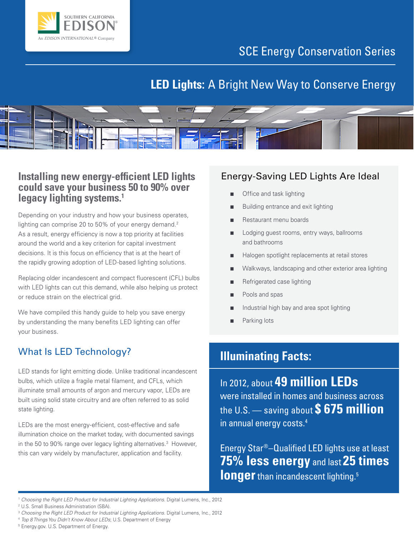

## SCE Energy Conservation Series

## **LED Lights:** A Bright New Way to Conserve Energy



### **Installing new energy-efficient LED lights could save your business 50 to 90% over legacy lighting systems.1**

Depending on your industry and how your business operates, lighting can comprise 20 to 50% of your energy demand.<sup>2</sup> As a result, energy efficiency is now a top priority at facilities around the world and a key criterion for capital investment decisions. It is this focus on efficiency that is at the heart of the rapidly growing adoption of LED-based lighting solutions.

Replacing older incandescent and compact fluorescent (CFL) bulbs with LED lights can cut this demand, while also helping us protect or reduce strain on the electrical grid.

We have compiled this handy guide to help you save energy by understanding the many benefits LED lighting can offer your business.

## What Is LED Technology?

LED stands for light emitting diode. Unlike traditional incandescent bulbs, which utilize a fragile metal filament, and CFLs, which illuminate small amounts of argon and mercury vapor, LEDs are built using solid state circuitry and are often referred to as solid state lighting.

LEDs are the most energy-efficient, cost-effective and safe illumination choice on the market today, with documented savings in the 50 to 90% range over legacy lighting alternatives.<sup>3</sup> However, this can vary widely by manufacturer, application and facility.

### Energy-Saving LED Lights Are Ideal

- Office and task lighting
- Building entrance and exit lighting
- Restaurant menu boards
- Lodging guest rooms, entry ways, ballrooms and bathrooms
- Halogen spotlight replacements at retail stores
- Walkways, landscaping and other exterior area lighting
- Refrigerated case lighting
- Pools and spas
- Industrial high bay and area spot lighting
- Parking lots

## **Illuminating Facts:**

In 2012, about **49 million LEDs** were installed in homes and business across the U.S. — saving about **\$ 675 million** in annual energy costs.4

Energy Star®–Qualified LED lights use at least **75% less energy** and last **25 times longer** than incandescent lighting.<sup>5</sup>

<sup>&</sup>lt;sup>1</sup> Choosing the Right LED Product for Industrial Lighting Applications. Digital Lumens, Inc., 2012<br><sup>2</sup> U.S. Small Business Administration (SBA).

<sup>&</sup>lt;sup>3</sup> Choosing the Right LED Product for Industrial Lighting Applications. Digital Lumens, Inc., 2012<br><sup>4</sup> *Top 8 Things You Didn't Know About LEDs*; U.S. Department of Energy<br><sup>5</sup> Energy.gov. U.S. Department of Energy.